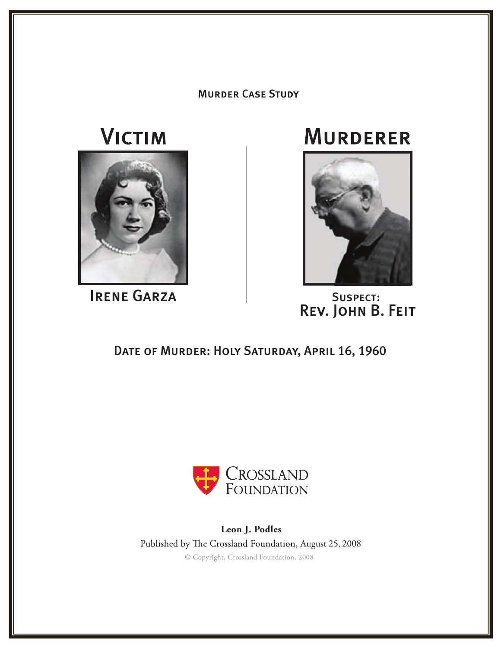#### **MURDER CASE STUDY**

# **VICTIM**



**IRENE GARZA** SUSPECT:

## **MURDERER**



Rev. John B. Feit

### DATE OF MURDER: HOLY SATURDAY, APRIL 16, 1960



**Leon J. Podles** © Copyright, Crossland Foundation, 2008 Published by The Crossland Foundation, August 25, 2008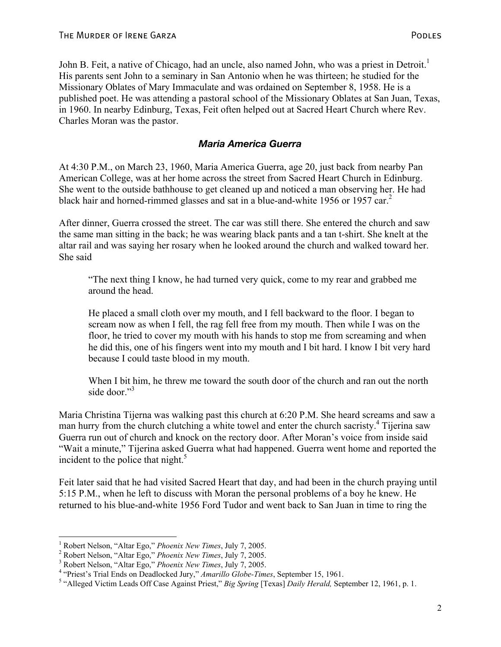John B. Feit, a native of Chicago, had an uncle, also named John, who was a priest in Detroit.<sup>1</sup> His parents sent John to a seminary in San Antonio when he was thirteen; he studied for the Missionary Oblates of Mary Immaculate and was ordained on September 8, 1958. He is a published poet. He was attending a pastoral school of the Missionary Oblates at San Juan, Texas, in 1960. In nearby Edinburg, Texas, Feit often helped out at Sacred Heart Church where Rev. Charles Moran was the pastor.

#### *Maria America Guerra*

At 4:30 P.M., on March 23, 1960, Maria America Guerra, age 20, just back from nearby Pan American College, was at her home across the street from Sacred Heart Church in Edinburg. She went to the outside bathhouse to get cleaned up and noticed a man observing her. He had black hair and horned-rimmed glasses and sat in a blue-and-white 1956 or 1957 car.<sup>2</sup>

After dinner, Guerra crossed the street. The car was still there. She entered the church and saw the same man sitting in the back; he was wearing black pants and a tan t-shirt. She knelt at the altar rail and was saying her rosary when he looked around the church and walked toward her. She said

"The next thing I know, he had turned very quick, come to my rear and grabbed me around the head.

He placed a small cloth over my mouth, and I fell backward to the floor. I began to scream now as when I fell, the rag fell free from my mouth. Then while I was on the floor, he tried to cover my mouth with his hands to stop me from screaming and when he did this, one of his fingers went into my mouth and I bit hard. I know I bit very hard because I could taste blood in my mouth.

When I bit him, he threw me toward the south door of the church and ran out the north side door."<sup>3</sup>

Maria Christina Tijerna was walking past this church at 6:20 P.M. She heard screams and saw a man hurry from the church clutching a white towel and enter the church sacristy.<sup>4</sup> Tijerina saw Guerra run out of church and knock on the rectory door. After Moran's voice from inside said "Wait a minute," Tijerina asked Guerra what had happened. Guerra went home and reported the incident to the police that night. $5$ 

Feit later said that he had visited Sacred Heart that day, and had been in the church praying until 5:15 P.M., when he left to discuss with Moran the personal problems of a boy he knew. He returned to his blue-and-white 1956 Ford Tudor and went back to San Juan in time to ring the

<sup>&</sup>lt;sup>1</sup> Robert Nelson, "Altar Ego," *Phoenix New Times*, July 7, 2005. <sup>1</sup> Robert Nelson, "Altar Ego," *Phoenix New Times*, July 7, 2005.<br><sup>2</sup> Pobert Nelson, "Altar Ego," *Phoenix New Times*, July 7, 2005.

<sup>&</sup>lt;sup>2</sup> Robert Nelson, "Altar Ego," *Phoenix New Times*, July 7, 2005.<br><sup>3</sup> Pobert Nelson, "Altar Ego," *Phoenix New Times*, July 7, 2005.

<sup>&</sup>lt;sup>3</sup> Robert Nelson, "Altar Ego," *Phoenix New Times*, July 7, 2005.<br><sup>4</sup> "Priost's Trial Ends on Doedlocked Jury" *Amerillo Clobe Tim* 

<sup>&</sup>lt;sup>4</sup> "Priest's Trial Ends on Deadlocked Jury," *Amarillo Globe-Times*, September 15, 1961.<br><sup>5</sup> "Alleged Victim Leeds Off Case Against Priest" *Pie Senius* [Tayse] Deith Havald Sen

<sup>&</sup>lt;sup>5</sup> "Alleged Victim Leads Off Case Against Priest," *Big Spring* [Texas] *Daily Herald*, September 12, 1961, p. 1.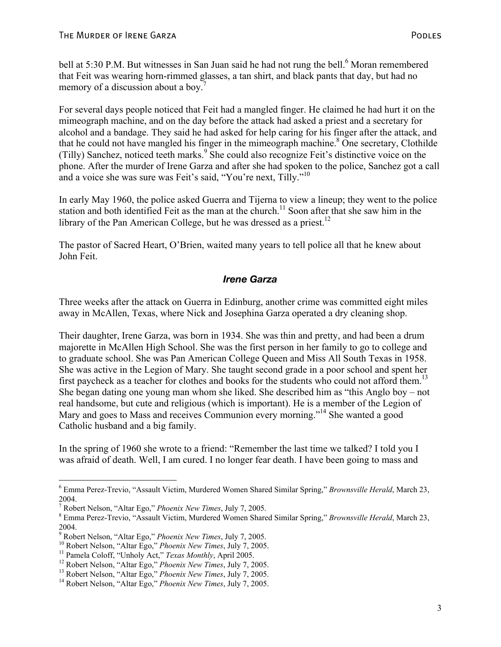bell at 5:30 P.M. But witnesses in San Juan said he had not rung the bell.<sup>6</sup> Moran remembered that Feit was wearing horn-rimmed glasses, a tan shirt, and black pants that day, but had no memory of a discussion about a boy.<sup>7</sup>

For several days people noticed that Feit had a mangled finger. He claimed he had hurt it on the mimeograph machine, and on the day before the attack had asked a priest and a secretary for alcohol and a bandage. They said he had asked for help caring for his finger after the attack, and that he could not have mangled his finger in the mimeograph machine.<sup>8</sup> One secretary, Clothilde (Tilly) Sanchez, noticed teeth marks.<sup>9</sup> She could also recognize Feit's distinctive voice on the phone. After the murder of Irene Garza and after she had spoken to the police, Sanchez got a call and a voice she was sure was Feit's said, "You're next, Tilly."<sup>10</sup>

In early May 1960, the police asked Guerra and Tijerna to view a lineup; they went to the police station and both identified Feit as the man at the church.<sup>11</sup> Soon after that she saw him in the library of the Pan American College, but he was dressed as a priest.<sup>12</sup>

The pastor of Sacred Heart, O'Brien, waited many years to tell police all that he knew about John Feit.

#### *Irene Garza*

Three weeks after the attack on Guerra in Edinburg, another crime was committed eight miles away in McAllen, Texas, where Nick and Josephina Garza operated a dry cleaning shop.

Their daughter, Irene Garza, was born in 1934. She was thin and pretty, and had been a drum majorette in McAllen High School. She was the first person in her family to go to college and to graduate school. She was Pan American College Queen and Miss All South Texas in 1958. She was active in the Legion of Mary. She taught second grade in a poor school and spent her first paycheck as a teacher for clothes and books for the students who could not afford them.<sup>13</sup> She began dating one young man whom she liked. She described him as "this Anglo boy – not real handsome, but cute and religious (which is important). He is a member of the Legion of Mary and goes to Mass and receives Communion every morning."<sup>14</sup> She wanted a good Catholic husband and a big family.

In the spring of 1960 she wrote to a friend: "Remember the last time we talked? I told you I was afraid of death. Well, I am cured. I no longer fear death. I have been going to mass and

<u>.</u>

<sup>6</sup> Emma Perez-Trevio, "Assault Victim, Murdered Women Shared Similar Spring," *Brownsville Herald*, March 23, 2004.

<sup>&</sup>lt;sup>7</sup> Robert Nelson, "Altar Ego," *Phoenix New Times*, July 7, 2005.

Emma Perez-Trevio, "Assault Victim, Murdered Women Shared Similar Spring," *Brownsville Herald*, March 23, 2004.

<sup>&</sup>lt;sup>9</sup> Robert Nelson, "Altar Ego," *Phoenix New Times*, July 7, 2005.

<sup>&</sup>lt;sup>10</sup> Robert Nelson, "Altar Ego," *Phoenix New Times*, July 7, 2005.<br><sup>11</sup> Pamela Coloff, "Unholy Act," *Texas Monthly*, April 2005.<br><sup>12</sup> Robert Nelson, "Altar Ego," *Phoenix New Times*, July 7, 2005.<br><sup>13</sup> Robert Nelson, "A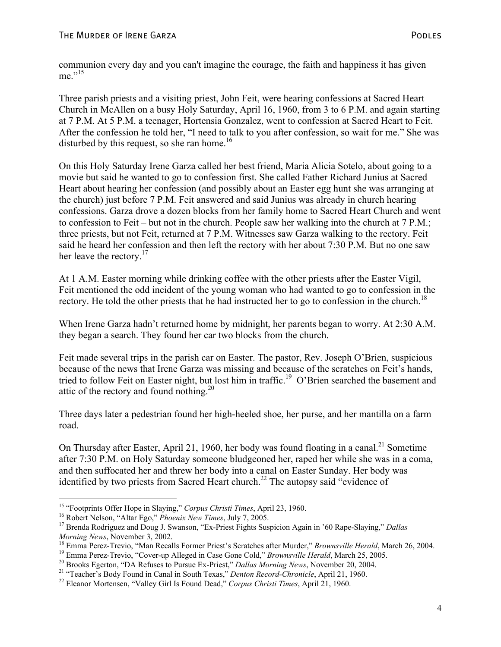communion every day and you can't imagine the courage, the faith and happiness it has given me $^{15}$ 

Three parish priests and a visiting priest, John Feit, were hearing confessions at Sacred Heart Church in McAllen on a busy Holy Saturday, April 16, 1960, from 3 to 6 P.M. and again starting at 7 P.M. At 5 P.M. a teenager, Hortensia Gonzalez, went to confession at Sacred Heart to Feit. After the confession he told her, "I need to talk to you after confession, so wait for me." She was disturbed by this request, so she ran home.<sup>16</sup>

On this Holy Saturday Irene Garza called her best friend, Maria Alicia Sotelo, about going to a movie but said he wanted to go to confession first. She called Father Richard Junius at Sacred Heart about hearing her confession (and possibly about an Easter egg hunt she was arranging at the church) just before 7 P.M. Feit answered and said Junius was already in church hearing confessions. Garza drove a dozen blocks from her family home to Sacred Heart Church and went to confession to Feit – but not in the church. People saw her walking into the church at 7 P.M.; three priests, but not Feit, returned at 7 P.M. Witnesses saw Garza walking to the rectory. Feit said he heard her confession and then left the rectory with her about 7:30 P.M. But no one saw her leave the rectory.<sup>17</sup>

At 1 A.M. Easter morning while drinking coffee with the other priests after the Easter Vigil, Feit mentioned the odd incident of the young woman who had wanted to go to confession in the rectory. He told the other priests that he had instructed her to go to confession in the church.<sup>18</sup>

When Irene Garza hadn't returned home by midnight, her parents began to worry. At 2:30 A.M. they began a search. They found her car two blocks from the church.

Feit made several trips in the parish car on Easter. The pastor, Rev. Joseph O'Brien, suspicious because of the news that Irene Garza was missing and because of the scratches on Feit's hands, tried to follow Feit on Easter night, but lost him in traffic.<sup>19</sup> O'Brien searched the basement and attic of the rectory and found nothing.<sup>20</sup>

Three days later a pedestrian found her high-heeled shoe, her purse, and her mantilla on a farm road.

On Thursday after Easter, April 21, 1960, her body was found floating in a canal.<sup>21</sup> Sometime after 7:30 P.M. on Holy Saturday someone bludgeoned her, raped her while she was in a coma, and then suffocated her and threw her body into a canal on Easter Sunday. Her body was identified by two priests from Sacred Heart church.<sup>22</sup> The autopsy said "evidence of

<sup>&</sup>lt;sup>15</sup> "Footprints Offer Hope in Slaying," Corpus Christi Times, April 23, 1960.

<sup>&</sup>lt;sup>16</sup> Robert Nelson, "Altar Ego," *Phoenix New Times*, July 7, 2005.<br><sup>17</sup> Brenda Rodriguez and Doug J. Swanson, "Ex-Priest Fights Suspicion Again in '60 Rape-Slaying," *Dallas* 

Morning News, November 3, 2002.<br><sup>18</sup> Emma Perez-Trevio, "Man Recalls Former Priest's Scratches after Murder," *Brownsville Herald*, March 26, 2004.<br><sup>19</sup> Emma Perez-Trevio, "Cover-up Alleged in Case Gone Cold," *Brownsville*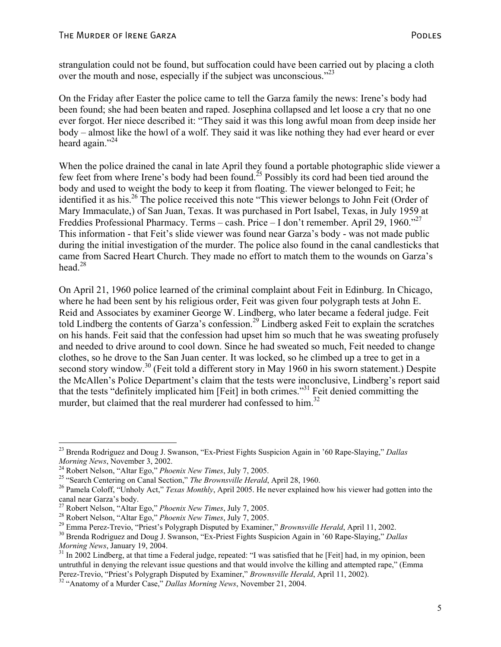strangulation could not be found, but suffocation could have been carried out by placing a cloth over the mouth and nose, especially if the subject was unconscious."<sup>23</sup>

On the Friday after Easter the police came to tell the Garza family the news: Irene's body had been found; she had been beaten and raped. Josephina collapsed and let loose a cry that no one ever forgot. Her niece described it: "They said it was this long awful moan from deep inside her body – almost like the howl of a wolf. They said it was like nothing they had ever heard or ever heard again." $^{24}$ 

When the police drained the canal in late April they found a portable photographic slide viewer a few feet from where Irene's body had been found.<sup>25</sup> Possibly its cord had been tied around the body and used to weight the body to keep it from floating. The viewer belonged to Feit; he identified it as his.<sup>26</sup> The police received this note "This viewer belongs to John Feit (Order of Mary Immaculate,) of San Juan, Texas. It was purchased in Port Isabel, Texas, in July 1959 at Freddies Professional Pharmacy. Terms – cash. Price – I don't remember. April 29, 1960.<sup>"27</sup> This information - that Feit's slide viewer was found near Garza's body - was not made public during the initial investigation of the murder. The police also found in the canal candlesticks that came from Sacred Heart Church. They made no effort to match them to the wounds on Garza's head  $^{28}$ 

On April 21, 1960 police learned of the criminal complaint about Feit in Edinburg. In Chicago, where he had been sent by his religious order, Feit was given four polygraph tests at John E. Reid and Associates by examiner George W. Lindberg, who later became a federal judge. Feit told Lindberg the contents of Garza's confession.29 Lindberg asked Feit to explain the scratches on his hands. Feit said that the confession had upset him so much that he was sweating profusely and needed to drive around to cool down. Since he had sweated so much, Feit needed to change clothes, so he drove to the San Juan center. It was locked, so he climbed up a tree to get in a second story window.<sup>30</sup> (Feit told a different story in May 1960 in his sworn statement.) Despite the McAllen's Police Department's claim that the tests were inconclusive, Lindberg's report said that the tests "definitely implicated him [Feit] in both crimes."31 Feit denied committing the murder, but claimed that the real murderer had confessed to him.<sup>32</sup>

<sup>&</sup>lt;sup>23</sup> Brenda Rodriguez and Doug J. Swanson, "Ex-Priest Fights Suspicion Again in '60 Rape-Slaying," *Dallas Morning News*, November 3, 2002.

<sup>&</sup>lt;sup>24</sup> Robert Nelson, "Altar Ego," *Phoenix New Times*, July 7, 2005.<br><sup>25</sup> "Search Centering on Canal Section," *The Brownsville Herald*, April 28, 1960.<br><sup>26</sup> Pamela Coloff, "Unholy Act," *Texas Monthly*, April 2005. He neve canal near Garza's body.<br><sup>27</sup> Robert Nelson, "Altar Ego," *Phoenix New Times*, July 7, 2005.

<sup>&</sup>lt;sup>28</sup> Robert Nelson, "Altar Ego," *Phoenix New Times*, July 7, 2005.<br><sup>29</sup> Emma Perez-Trevio, "Priest's Polygraph Disputed by Examiner," *Brownsville Herald*, April 11, 2002.<br><sup>30</sup> Brenda Rodriguez and Doug J. Swanson, "Ex-P

<sup>&</sup>lt;sup>31</sup> In 2002 Lindberg, at that time a Federal judge, repeated: "I was satisfied that he [Feit] had, in my opinion, been untruthful in denying the relevant issue questions and that would involve the killing and attempted rape," (Emma Perez-Trevio, "Priest's Polygraph Disputed by Examiner," *Brownsville Herald*, April 11, 2002). 32 "Anatomy of a Murder Case," *Dallas Morning News*, November 21, 2004.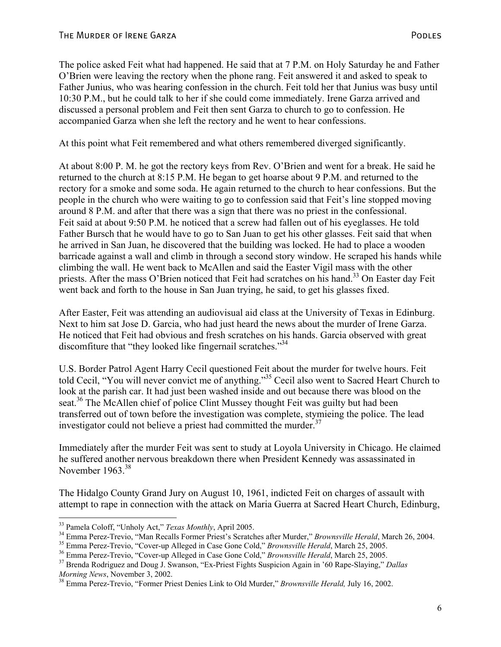The police asked Feit what had happened. He said that at 7 P.M. on Holy Saturday he and Father O'Brien were leaving the rectory when the phone rang. Feit answered it and asked to speak to Father Junius, who was hearing confession in the church. Feit told her that Junius was busy until 10:30 P.M., but he could talk to her if she could come immediately. Irene Garza arrived and discussed a personal problem and Feit then sent Garza to church to go to confession. He accompanied Garza when she left the rectory and he went to hear confessions.

At this point what Feit remembered and what others remembered diverged significantly.

At about 8:00 P. M. he got the rectory keys from Rev. O'Brien and went for a break. He said he returned to the church at 8:15 P.M. He began to get hoarse about 9 P.M. and returned to the rectory for a smoke and some soda. He again returned to the church to hear confessions. But the people in the church who were waiting to go to confession said that Feit's line stopped moving around 8 P.M. and after that there was a sign that there was no priest in the confessional. Feit said at about 9:50 P.M. he noticed that a screw had fallen out of his eyeglasses. He told Father Bursch that he would have to go to San Juan to get his other glasses. Feit said that when he arrived in San Juan, he discovered that the building was locked. He had to place a wooden barricade against a wall and climb in through a second story window. He scraped his hands while climbing the wall. He went back to McAllen and said the Easter Vigil mass with the other priests. After the mass O'Brien noticed that Feit had scratches on his hand.<sup>33</sup> On Easter day Feit went back and forth to the house in San Juan trying, he said, to get his glasses fixed.

After Easter, Feit was attending an audiovisual aid class at the University of Texas in Edinburg. Next to him sat Jose D. Garcia, who had just heard the news about the murder of Irene Garza. He noticed that Feit had obvious and fresh scratches on his hands. Garcia observed with great discomfiture that "they looked like fingernail scratches."<sup>34</sup>

U.S. Border Patrol Agent Harry Cecil questioned Feit about the murder for twelve hours. Feit told Cecil, "You will never convict me of anything."35 Cecil also went to Sacred Heart Church to look at the parish car. It had just been washed inside and out because there was blood on the seat.<sup>36</sup> The McAllen chief of police Clint Mussey thought Feit was guilty but had been transferred out of town before the investigation was complete, stymieing the police. The lead investigator could not believe a priest had committed the murder.<sup>37</sup>

Immediately after the murder Feit was sent to study at Loyola University in Chicago. He claimed he suffered another nervous breakdown there when President Kennedy was assassinated in November 1963.<sup>38</sup>

The Hidalgo County Grand Jury on August 10, 1961, indicted Feit on charges of assault with attempt to rape in connection with the attack on Maria Guerra at Sacred Heart Church, Edinburg,

<sup>&</sup>lt;sup>33</sup> Pamela Coloff, "Unholy Act," *Texas Monthly*, April 2005.<br><sup>34</sup> Emma Perez-Trevio, "Man Recalls Former Priest's Scratches after Murder," *Brownsville Herald*, March 26, 2004.<br><sup>35</sup> Emma Perez-Trevio, "Cover-up Alleged i

<sup>&</sup>lt;sup>38</sup> Emma Perez-Trevio, "Former Priest Denies Link to Old Murder," *Brownsville Herald*, July 16, 2002.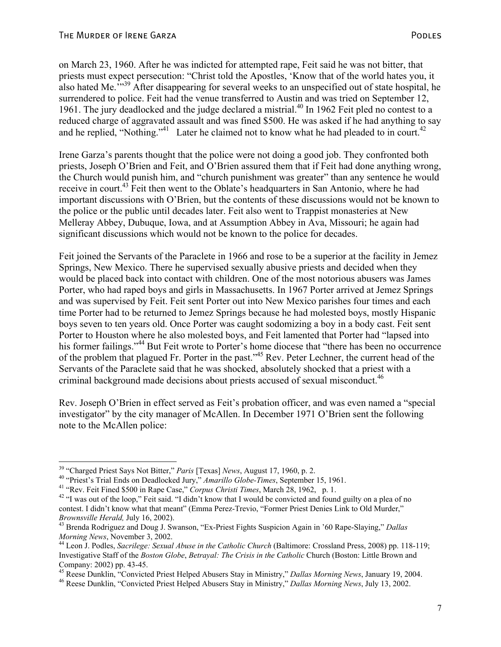on March 23, 1960. After he was indicted for attempted rape, Feit said he was not bitter, that priests must expect persecution: "Christ told the Apostles, 'Know that of the world hates you, it also hated Me.<sup>7539</sup> After disappearing for several weeks to an unspecified out of state hospital, he surrendered to police. Feit had the venue transferred to Austin and was tried on September 12, 1961. The jury deadlocked and the judge declared a mistrial.<sup> $40$ </sup> In 1962 Feit pled no contest to a reduced charge of aggravated assault and was fined \$500. He was asked if he had anything to say and he replied, "Nothing."<sup>41</sup> Later he claimed not to know what he had pleaded to in court.<sup>42</sup>

Irene Garza's parents thought that the police were not doing a good job. They confronted both priests, Joseph O'Brien and Feit, and O'Brien assured them that if Feit had done anything wrong, the Church would punish him, and "church punishment was greater" than any sentence he would receive in court.<sup>43</sup> Feit then went to the Oblate's headquarters in San Antonio, where he had important discussions with O'Brien, but the contents of these discussions would not be known to the police or the public until decades later. Feit also went to Trappist monasteries at New Melleray Abbey, Dubuque, Iowa, and at Assumption Abbey in Ava, Missouri; he again had significant discussions which would not be known to the police for decades.

Feit joined the Servants of the Paraclete in 1966 and rose to be a superior at the facility in Jemez Springs, New Mexico. There he supervised sexually abusive priests and decided when they would be placed back into contact with children. One of the most notorious abusers was James Porter, who had raped boys and girls in Massachusetts. In 1967 Porter arrived at Jemez Springs and was supervised by Feit. Feit sent Porter out into New Mexico parishes four times and each time Porter had to be returned to Jemez Springs because he had molested boys, mostly Hispanic boys seven to ten years old. Once Porter was caught sodomizing a boy in a body cast. Feit sent Porter to Houston where he also molested boys, and Feit lamented that Porter had "lapsed into his former failings."<sup>44</sup> But Feit wrote to Porter's home diocese that "there has been no occurrence of the problem that plagued Fr. Porter in the past."45 Rev. Peter Lechner, the current head of the Servants of the Paraclete said that he was shocked, absolutely shocked that a priest with a criminal background made decisions about priests accused of sexual misconduct.<sup>46</sup>

Rev. Joseph O'Brien in effect served as Feit's probation officer, and was even named a "special investigator" by the city manager of McAllen. In December 1971 O'Brien sent the following note to the McAllen police:

<sup>&</sup>lt;sup>39</sup> "Charged Priest Says Not Bitter," Paris [Texas] News, August 17, 1960, p. 2.

<sup>&</sup>lt;sup>40</sup> "Priest's Trial Ends on Deadlocked Jury," Amarillo Globe-Times, September 15, 1961.<br><sup>41</sup> "Rev. Feit Fined \$500 in Rape Case," Corpus Christi Times, March 28, 1962, p. 1.<br><sup>42</sup> "I was out of the loop," Feit said. "I did contest. I didn't know what that meant" (Emma Perez-Trevio, "Former Priest Denies Link to Old Murder,"

*Brownsville Herald, July 16, 2002*).<br><sup>43</sup> Brenda Rodriguez and Doug J. Swanson, "Ex-Priest Fights Suspicion Again in '60 Rape-Slaying," *Dallas Morning News*, November 3, 2002.

<sup>&</sup>lt;sup>44</sup> Leon J. Podles, *Sacrilege: Sexual Abuse in the Catholic Church* (Baltimore: Crossland Press, 2008) pp. 118-119; Investigative Staff of the *Boston Globe*, *Betrayal: The Crisis in the Catholic* Church (Boston: Little Brown and Company: 2002) pp. 43-45.

<sup>&</sup>lt;sup>45</sup> Reese Dunklin, "Convicted Priest Helped Abusers Stay in Ministry," *Dallas Morning News*, January 19, 2004.<br><sup>46</sup> Reese Dunklin, "Convicted Priest Helped Abusers Stay in Ministry," *Dallas Morning News*, July 13, 2002.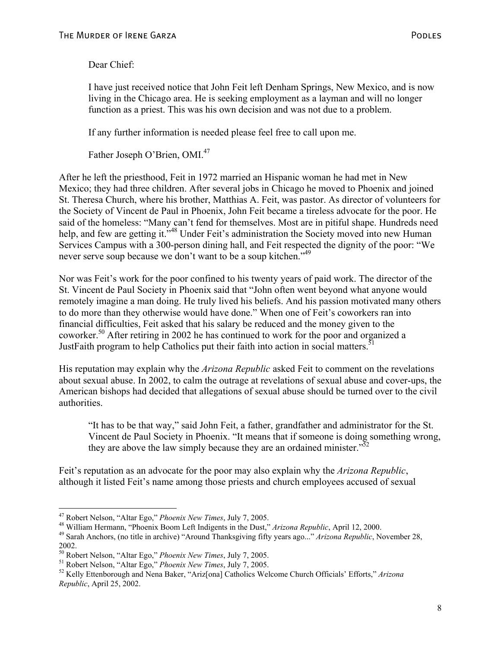Dear Chief:

I have just received notice that John Feit left Denham Springs, New Mexico, and is now living in the Chicago area. He is seeking employment as a layman and will no longer function as a priest. This was his own decision and was not due to a problem.

If any further information is needed please feel free to call upon me.

Father Joseph O'Brien, OMI.<sup>47</sup>

After he left the priesthood, Feit in 1972 married an Hispanic woman he had met in New Mexico; they had three children. After several jobs in Chicago he moved to Phoenix and joined St. Theresa Church, where his brother, Matthias A. Feit, was pastor. As director of volunteers for the Society of Vincent de Paul in Phoenix, John Feit became a tireless advocate for the poor. He said of the homeless: "Many can't fend for themselves. Most are in pitiful shape. Hundreds need help, and few are getting it.<sup>"48</sup> Under Feit's administration the Society moved into new Human Services Campus with a 300-person dining hall, and Feit respected the dignity of the poor: "We never serve soup because we don't want to be a soup kitchen."<sup>49</sup>

Nor was Feit's work for the poor confined to his twenty years of paid work. The director of the St. Vincent de Paul Society in Phoenix said that "John often went beyond what anyone would remotely imagine a man doing. He truly lived his beliefs. And his passion motivated many others to do more than they otherwise would have done." When one of Feit's coworkers ran into financial difficulties, Feit asked that his salary be reduced and the money given to the coworker.50 After retiring in 2002 he has continued to work for the poor and organized a JustFaith program to help Catholics put their faith into action in social matters.<sup>51</sup>

His reputation may explain why the *Arizona Republic* asked Feit to comment on the revelations about sexual abuse. In 2002, to calm the outrage at revelations of sexual abuse and cover-ups, the American bishops had decided that allegations of sexual abuse should be turned over to the civil authorities.

"It has to be that way," said John Feit, a father, grandfather and administrator for the St. Vincent de Paul Society in Phoenix. "It means that if someone is doing something wrong, they are above the law simply because they are an ordained minister.<sup> $52$ </sup>

Feit's reputation as an advocate for the poor may also explain why the *Arizona Republic*, although it listed Feit's name among those priests and church employees accused of sexual

1

<sup>&</sup>lt;sup>47</sup> Robert Nelson, "Altar Ego," *Phoenix New Times*, July 7, 2005.<br><sup>48</sup> William Hermann, "Phoenix Boom Left Indigents in the Dust," *Arizona Republic*, April 12, 2000.<br><sup>49</sup> Sarah Anchors, (no title in archive) "Around Th 2002.<br><sup>50</sup> Robert Nelson, "Altar Ego," *Phoenix New Times*, July 7, 2005.

<sup>&</sup>lt;sup>51</sup> Robert Nelson, "Altar Ego," *Phoenix New Times*, July 7, 2005.<br><sup>52</sup> Kelly Ettenborough and Nena Baker, "Arizonal Catholics Welcome Church Officials' Efforts," Arizona *Republic*, April 25, 2002.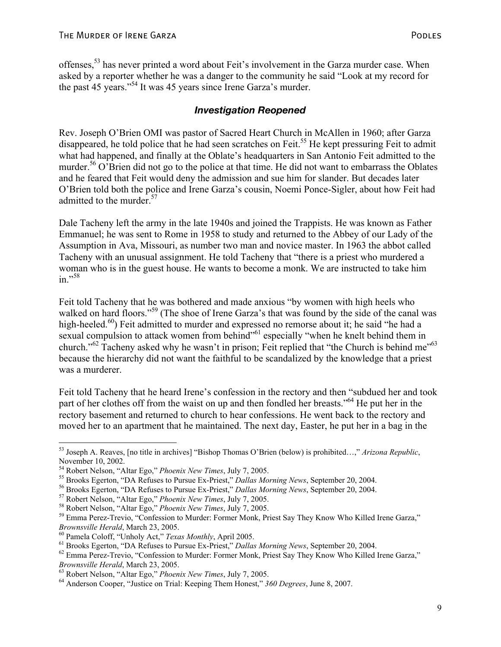offenses,53 has never printed a word about Feit's involvement in the Garza murder case. When asked by a reporter whether he was a danger to the community he said "Look at my record for the past 45 years."54 It was 45 years since Irene Garza's murder.

#### *Investigation Reopened*

Rev. Joseph O'Brien OMI was pastor of Sacred Heart Church in McAllen in 1960; after Garza disappeared, he told police that he had seen scratches on Feit.<sup>55</sup> He kept pressuring Feit to admit what had happened, and finally at the Oblate's headquarters in San Antonio Feit admitted to the murder.<sup>56</sup> O'Brien did not go to the police at that time. He did not want to embarrass the Oblates and he feared that Feit would deny the admission and sue him for slander. But decades later O'Brien told both the police and Irene Garza's cousin, Noemi Ponce-Sigler, about how Feit had admitted to the murder.<sup>57</sup>

Dale Tacheny left the army in the late 1940s and joined the Trappists. He was known as Father Emmanuel; he was sent to Rome in 1958 to study and returned to the Abbey of our Lady of the Assumption in Ava, Missouri, as number two man and novice master. In 1963 the abbot called Tacheny with an unusual assignment. He told Tacheny that "there is a priest who murdered a woman who is in the guest house. He wants to become a monk. We are instructed to take him in." $58$ 

Feit told Tacheny that he was bothered and made anxious "by women with high heels who walked on hard floors."<sup>59</sup> (The shoe of Irene Garza's that was found by the side of the canal was high-heeled.<sup>60</sup>) Feit admitted to murder and expressed no remorse about it; he said "he had a sexual compulsion to attack women from behind<sup>"61</sup> especially "when he knelt behind them in church."62 Tacheny asked why he wasn't in prison; Feit replied that "the Church is behind me"63 because the hierarchy did not want the faithful to be scandalized by the knowledge that a priest was a murderer.

Feit told Tacheny that he heard Irene's confession in the rectory and then "subdued her and took part of her clothes off from the waist on up and then fondled her breasts."64 He put her in the rectory basement and returned to church to hear confessions. He went back to the rectory and moved her to an apartment that he maintained. The next day, Easter, he put her in a bag in the

<u>.</u>

<sup>53</sup> Joseph A. Reaves, [no title in archives] "Bishop Thomas O'Brien (below) is prohibited…," *Arizona Republic*, November 10, 2002.<br><sup>54</sup> Robert Nelson, "Altar Ego," *Phoenix New Times*, July 7, 2005.

<sup>&</sup>lt;sup>55</sup> Brooks Egerton, "DA Refuses to Pursue Ex-Priest," *Dallas Morning News*, September 20, 2004.<br><sup>56</sup> Brooks Egerton, "DA Refuses to Pursue Ex-Priest," *Dallas Morning News*, September 20, 2004.<br><sup>57</sup> Robert Nelson, "Alta

<sup>&</sup>lt;sup>60</sup> Pamela Coloff, "Unholy Act," *Texas Monthly*, April 2005.<br>
<sup>61</sup> Brooks Egerton, "DA Refuses to Pursue Ex-Priest," *Dallas Morning News*, September 20, 2004.<br>
<sup>62</sup> Emma Perez-Trevio, "Confession to Murder: Former Monk

*Brownsville Herald*, March 23, 2005. 63 Robert Nelson, "Altar Ego," *Phoenix New Times*, July 7, 2005. 64 Anderson Cooper, "Justice on Trial: Keeping Them Honest," *360 Degrees*, June 8, 2007.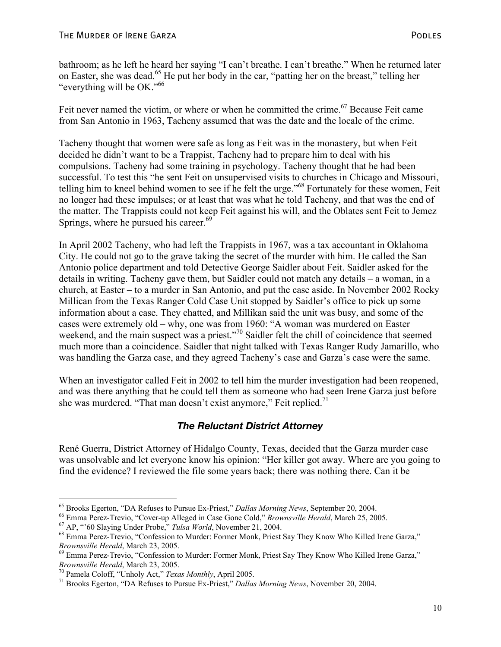bathroom; as he left he heard her saying "I can't breathe. I can't breathe." When he returned later on Easter, she was dead.<sup>65</sup> He put her body in the car, "patting her on the breast," telling her "everything will be OK."66

Feit never named the victim, or where or when he committed the crime.<sup>67</sup> Because Feit came from San Antonio in 1963, Tacheny assumed that was the date and the locale of the crime.

Tacheny thought that women were safe as long as Feit was in the monastery, but when Feit decided he didn't want to be a Trappist, Tacheny had to prepare him to deal with his compulsions. Tacheny had some training in psychology. Tacheny thought that he had been successful. To test this "he sent Feit on unsupervised visits to churches in Chicago and Missouri, telling him to kneel behind women to see if he felt the urge."68 Fortunately for these women, Feit no longer had these impulses; or at least that was what he told Tacheny, and that was the end of the matter. The Trappists could not keep Feit against his will, and the Oblates sent Feit to Jemez Springs, where he pursued his career.<sup>69</sup>

In April 2002 Tacheny, who had left the Trappists in 1967, was a tax accountant in Oklahoma City. He could not go to the grave taking the secret of the murder with him. He called the San Antonio police department and told Detective George Saidler about Feit. Saidler asked for the details in writing. Tacheny gave them, but Saidler could not match any details – a woman, in a church, at Easter – to a murder in San Antonio, and put the case aside. In November 2002 Rocky Millican from the Texas Ranger Cold Case Unit stopped by Saidler's office to pick up some information about a case. They chatted, and Millikan said the unit was busy, and some of the cases were extremely old – why, one was from 1960: "A woman was murdered on Easter weekend, and the main suspect was a priest."<sup>70</sup> Saidler felt the chill of coincidence that seemed much more than a coincidence. Saidler that night talked with Texas Ranger Rudy Jamarillo, who was handling the Garza case, and they agreed Tacheny's case and Garza's case were the same.

When an investigator called Feit in 2002 to tell him the murder investigation had been reopened, and was there anything that he could tell them as someone who had seen Irene Garza just before she was murdered. "That man doesn't exist anymore," Feit replied.<sup>71</sup>

#### *The Reluctant District Attorney*

René Guerra, District Attorney of Hidalgo County, Texas, decided that the Garza murder case was unsolvable and let everyone know his opinion: "Her killer got away. Where are you going to find the evidence? I reviewed the file some years back; there was nothing there. Can it be

<sup>&</sup>lt;sup>65</sup> Brooks Egerton, "DA Refuses to Pursue Ex-Priest," *Dallas Morning News*, September 20, 2004.<br><sup>66</sup> Emma Perez-Trevio, "Cover-up Alleged in Case Gone Cold," *Brownsville Herald*, March 25, 2005.<br><sup>67</sup> AP, "'60 Slaying U

*Brownsville Herald*, March 23, 2005.<br><sup>69</sup> Emma Perez-Trevio, "Confession to Murder: Former Monk, Priest Say They Know Who Killed Irene Garza,"

*Brownsville Herald*, March 23, 2005.<br><sup>70</sup> Pamela Coloff, "Unholy Act," *Texas Monthly*, April 2005.<br><sup>71</sup> Brooks Egerton, "DA Refuses to Pursue Ex-Priest," *Dallas Morning News*, November 20, 2004.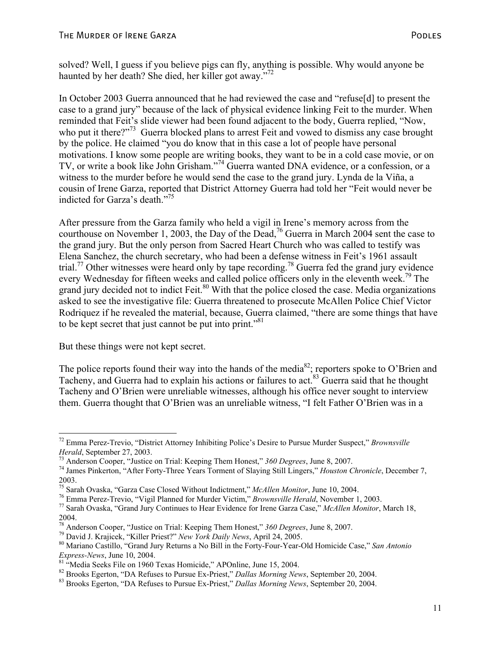solved? Well, I guess if you believe pigs can fly, anything is possible. Why would anyone be haunted by her death? She died, her killer got away."<sup>72</sup>

In October 2003 Guerra announced that he had reviewed the case and "refuse[d] to present the case to a grand jury" because of the lack of physical evidence linking Feit to the murder. When reminded that Feit's slide viewer had been found adjacent to the body, Guerra replied, "Now, who put it there?"<sup>73</sup> Guerra blocked plans to arrest Feit and vowed to dismiss any case brought by the police. He claimed "you do know that in this case a lot of people have personal motivations. I know some people are writing books, they want to be in a cold case movie, or on TV, or write a book like John Grisham."74 Guerra wanted DNA evidence, or a confession, or a witness to the murder before he would send the case to the grand jury. Lynda de la Viña, a cousin of Irene Garza, reported that District Attorney Guerra had told her "Feit would never be indicted for Garza's death."75

After pressure from the Garza family who held a vigil in Irene's memory across from the courthouse on November 1, 2003, the Day of the Dead,<sup>76</sup> Guerra in March 2004 sent the case to the grand jury. But the only person from Sacred Heart Church who was called to testify was Elena Sanchez, the church secretary, who had been a defense witness in Feit's 1961 assault trial.<sup>77</sup> Other witnesses were heard only by tape recording.<sup>78</sup> Guerra fed the grand jury evidence every Wednesday for fifteen weeks and called police officers only in the eleventh week.<sup>79</sup> The grand jury decided not to indict Feit.<sup>80</sup> With that the police closed the case. Media organizations asked to see the investigative file: Guerra threatened to prosecute McAllen Police Chief Victor Rodriquez if he revealed the material, because, Guerra claimed, "there are some things that have to be kept secret that just cannot be put into print."<sup>81</sup>

But these things were not kept secret.

The police reports found their way into the hands of the media<sup>82</sup>; reporters spoke to O'Brien and Tacheny, and Guerra had to explain his actions or failures to act.<sup>83</sup> Guerra said that he thought Tacheny and O'Brien were unreliable witnesses, although his office never sought to interview them. Guerra thought that O'Brien was an unreliable witness, "I felt Father O'Brien was in a

 $\overline{a}$ 72 Emma Perez-Trevio, "District Attorney Inhibiting Police's Desire to Pursue Murder Suspect," *Brownsville* Herald, September 27, 2003.<br><sup>73</sup> Anderson Cooper, "Justice on Trial: Keeping Them Honest," 360 Degrees, June 8, 2007.<br><sup>74</sup> James Pinkerton, "After Forty-Three Years Torment of Slaying Still Lingers," *Houston Chronicle*, D

<sup>2003.</sup>

<sup>&</sup>lt;sup>75</sup> Sarah Ovaska, "Garza Case Closed Without Indictment," *McAllen Monitor*, June 10, 2004.<br><sup>76</sup> Emma Perez-Trevio, "Vigil Planned for Murder Victim," *Brownsville Herald*, November 1, 2003.<br><sup>77</sup> Sarah Ovaska, "Grand Jury

<sup>2004.&</sup>lt;br><sup>78</sup> Anderson Cooper, "Justice on Trial: Keeping Them Honest,"  $360$  Degrees, June 8, 2007.

<sup>&</sup>lt;sup>79</sup> David J. Krajicek, "Killer Priest?" New York Daily News, April 24, 2005.<br><sup>80</sup> Mariano Castillo, "Grand Jury Returns a No Bill in the Forty-Four-Year-Old Homicide Case," San Antonio *Express-News*, June 10, 2004. 81 "Media Seeks File on 1960 Texas Homicide," APOnline, June 15, 2004.

<sup>&</sup>lt;sup>82</sup> Brooks Egerton, "DA Refuses to Pursue Ex-Priest," *Dallas Morning News*, September 20, 2004.<br><sup>83</sup> Brooks Egerton, "DA Refuses to Pursue Ex-Priest," *Dallas Morning News*, September 20, 2004.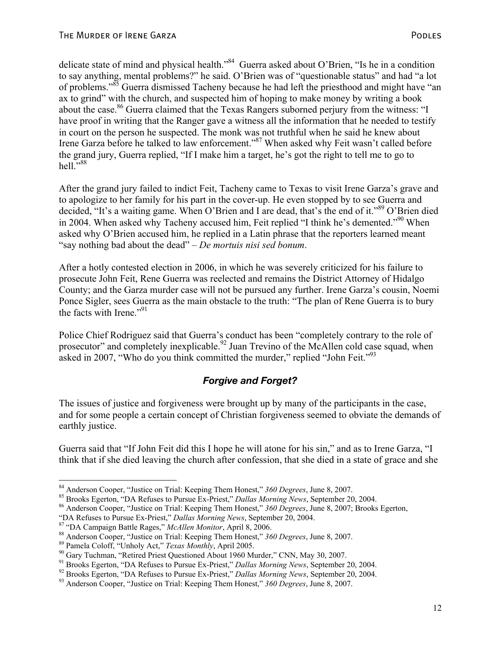delicate state of mind and physical health."<sup>84</sup> Guerra asked about O'Brien, "Is he in a condition to say anything, mental problems?" he said. O'Brien was of "questionable status" and had "a lot of problems."85 Guerra dismissed Tacheny because he had left the priesthood and might have "an ax to grind" with the church, and suspected him of hoping to make money by writing a book about the case.<sup>86</sup> Guerra claimed that the Texas Rangers suborned perjury from the witness: "I have proof in writing that the Ranger gave a witness all the information that he needed to testify in court on the person he suspected. The monk was not truthful when he said he knew about Irene Garza before he talked to law enforcement."87 When asked why Feit wasn't called before the grand jury, Guerra replied, "If I make him a target, he's got the right to tell me to go to  $hell. <sup>5,88</sup>$ 

After the grand jury failed to indict Feit, Tacheny came to Texas to visit Irene Garza's grave and to apologize to her family for his part in the cover-up. He even stopped by to see Guerra and decided, "It's a waiting game. When O'Brien and I are dead, that's the end of it."89 O'Brien died in 2004. When asked why Tacheny accused him, Feit replied "I think he's demented."90 When asked why O'Brien accused him, he replied in a Latin phrase that the reporters learned meant "say nothing bad about the dead" – *De mortuis nisi sed bonum*.

After a hotly contested election in 2006, in which he was severely criticized for his failure to prosecute John Feit, Rene Guerra was reelected and remains the District Attorney of Hidalgo County; and the Garza murder case will not be pursued any further. Irene Garza's cousin, Noemi Ponce Sigler, sees Guerra as the main obstacle to the truth: "The plan of Rene Guerra is to bury the facts with Irene."<sup>91</sup>

Police Chief Rodriguez said that Guerra's conduct has been "completely contrary to the role of prosecutor" and completely inexplicable.<sup>92</sup> Juan Trevino of the McAllen cold case squad, when asked in 2007, "Who do you think committed the murder," replied "John Feit."<sup>93</sup>

#### *Forgive and Forget?*

The issues of justice and forgiveness were brought up by many of the participants in the case, and for some people a certain concept of Christian forgiveness seemed to obviate the demands of earthly justice.

Guerra said that "If John Feit did this I hope he will atone for his sin," and as to Irene Garza, "I think that if she died leaving the church after confession, that she died in a state of grace and she

<sup>&</sup>lt;sup>84</sup> Anderson Cooper, "Justice on Trial: Keeping Them Honest," 360 Degrees, June 8, 2007.<br><sup>85</sup> Brooks Egerton, "DA Refuses to Pursue Ex-Priest," *Dallas Morning News*, September 20, 2004.<br><sup>86</sup> Anderson Cooper, "Justice on

<sup>&</sup>quot;DA Refuses to Pursue Ex-Priest," *Dallas Morning News*, September 20, 2004.<br><sup>87</sup> "DA Campaign Battle Rages," *McAllen Monitor*, April 8, 2006.<br><sup>88</sup> Anderson Cooper, "Justice on Trial: Keeping Them Honest," 360 Degrees, Ju

<sup>&</sup>lt;sup>92</sup> Brooks Egerton, "DA Refuses to Pursue Ex-Priest," *Dallas Morning News*, September 20, 2004.<br><sup>93</sup> Anderson Cooper, "Justice on Trial: Keeping Them Honest," 360 Degrees, June 8, 2007.